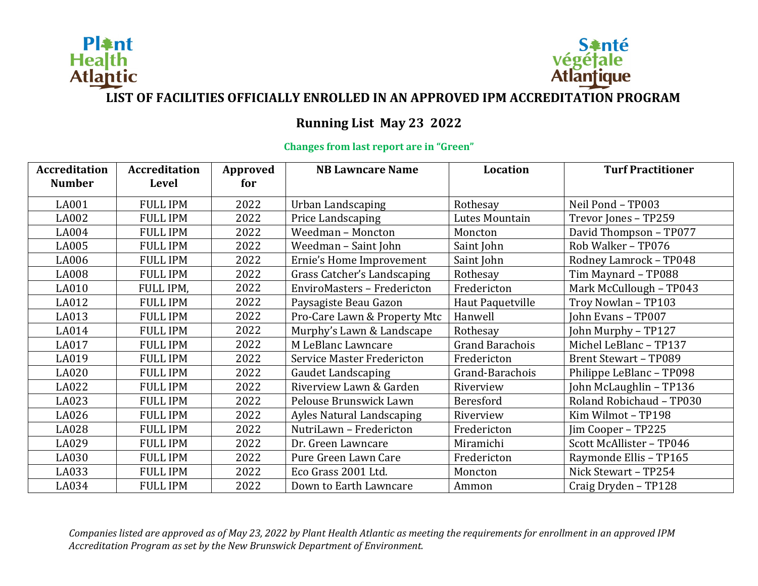



### **LIST OF FACILITIES OFFICIALLY ENROLLED IN AN APPROVED IPM ACCREDITATION PROGRAM**

### **Running List May 23 2022**

#### **Changes from last report are in "Green"**

| <b>Accreditation</b><br><b>Number</b> | <b>Accreditation</b><br>Level | Approved<br>for | <b>NB Lawncare Name</b>           | <b>Location</b>        | <b>Turf Practitioner</b>     |
|---------------------------------------|-------------------------------|-----------------|-----------------------------------|------------------------|------------------------------|
| LA001                                 | <b>FULL IPM</b>               | 2022            | Urban Landscaping                 | Rothesay               | Neil Pond - TP003            |
| LA002                                 | <b>FULL IPM</b>               | 2022            | Price Landscaping                 | Lutes Mountain         | Trevor Jones - TP259         |
| LA004                                 | <b>FULL IPM</b>               | 2022            | Weedman - Moncton                 | Moncton                | David Thompson - TP077       |
| LA005                                 | <b>FULL IPM</b>               | 2022            | Weedman - Saint John              | Saint John             | Rob Walker - TP076           |
| LA006                                 | <b>FULL IPM</b>               | 2022            | Ernie's Home Improvement          | Saint John             | Rodney Lamrock - TP048       |
| <b>LA008</b>                          | <b>FULL IPM</b>               | 2022            | Grass Catcher's Landscaping       | Rothesay               | Tim Maynard - TP088          |
| LA010                                 | FULL IPM,                     | 2022            | EnviroMasters - Fredericton       | Fredericton            | Mark McCullough - TP043      |
| LA012                                 | <b>FULL IPM</b>               | 2022            | Paysagiste Beau Gazon             | Haut Paquetville       | Troy Nowlan - TP103          |
| LA013                                 | <b>FULL IPM</b>               | 2022            | Pro-Care Lawn & Property Mtc      | Hanwell                | John Evans - TP007           |
| LA014                                 | <b>FULL IPM</b>               | 2022            | Murphy's Lawn & Landscape         | Rothesay               | John Murphy - TP127          |
| LA017                                 | <b>FULL IPM</b>               | 2022            | M LeBlanc Lawncare                | <b>Grand Barachois</b> | Michel LeBlanc - TP137       |
| LA019                                 | <b>FULL IPM</b>               | 2022            | <b>Service Master Fredericton</b> | Fredericton            | <b>Brent Stewart - TP089</b> |
| LA020                                 | <b>FULL IPM</b>               | 2022            | <b>Gaudet Landscaping</b>         | Grand-Barachois        | Philippe LeBlanc - TP098     |
| LA022                                 | <b>FULL IPM</b>               | 2022            | Riverview Lawn & Garden           | Riverview              | John McLaughlin - TP136      |
| LA023                                 | <b>FULL IPM</b>               | 2022            | Pelouse Brunswick Lawn            | Beresford              | Roland Robichaud - TP030     |
| LA026                                 | <b>FULL IPM</b>               | 2022            | <b>Ayles Natural Landscaping</b>  | Riverview              | Kim Wilmot - TP198           |
| LA028                                 | <b>FULL IPM</b>               | 2022            | NutriLawn - Fredericton           | Fredericton            | Jim Cooper - TP225           |
| LA029                                 | <b>FULL IPM</b>               | 2022            | Dr. Green Lawncare                | Miramichi              | Scott McAllister - TP046     |
| LA030                                 | <b>FULL IPM</b>               | 2022            | Pure Green Lawn Care              | Fredericton            | Raymonde Ellis - TP165       |
| LA033                                 | <b>FULL IPM</b>               | 2022            | Eco Grass 2001 Ltd.               | Moncton                | Nick Stewart - TP254         |
| LA034                                 | <b>FULL IPM</b>               | 2022            | Down to Earth Lawncare            | Ammon                  | Craig Dryden - TP128         |

*Companies listed are approved as of May 23, 2022 by Plant Health Atlantic as meeting the requirements for enrollment in an approved IPM Accreditation Program as set by the New Brunswick Department of Environment.*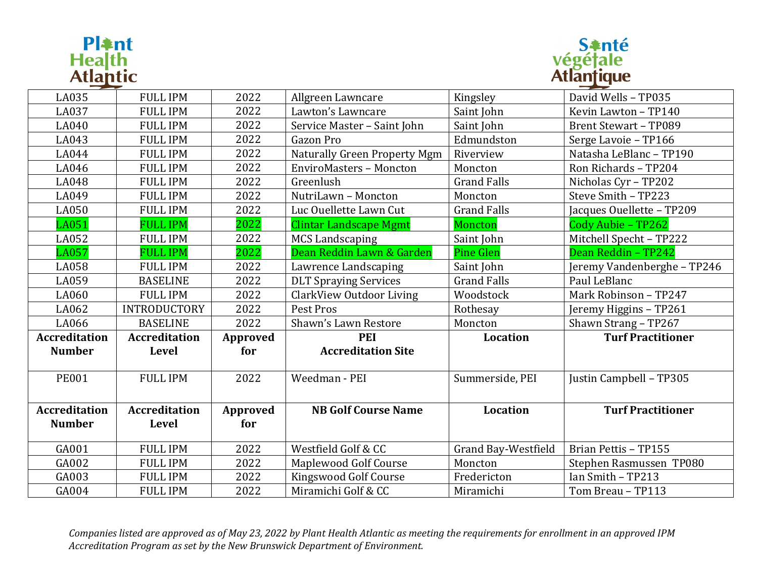# **Pl≩nt**<br>Hea|th<br>Atl<u>ant</u>ic



| LA035                | <b>FULL IPM</b>      | 2022     | Allgreen Lawncare                   | Kingsley                   | David Wells - TP035          |
|----------------------|----------------------|----------|-------------------------------------|----------------------------|------------------------------|
| LA037                | <b>FULL IPM</b>      | 2022     | Lawton's Lawncare                   | Saint John                 | Kevin Lawton - TP140         |
| LA040                | <b>FULL IPM</b>      | 2022     | Service Master - Saint John         | Saint John                 | <b>Brent Stewart - TP089</b> |
| LA043                | <b>FULL IPM</b>      | 2022     | Gazon Pro                           | Edmundston                 | Serge Lavoie - TP166         |
| LA044                | <b>FULL IPM</b>      | 2022     | <b>Naturally Green Property Mgm</b> | Riverview                  | Natasha LeBlanc - TP190      |
| LA046                | <b>FULL IPM</b>      | 2022     | <b>EnviroMasters - Moncton</b>      | Moncton                    | Ron Richards - TP204         |
| LA048                | <b>FULL IPM</b>      | 2022     | Greenlush                           | <b>Grand Falls</b>         | Nicholas Cyr - TP202         |
| LA049                | <b>FULL IPM</b>      | 2022     | NutriLawn - Moncton                 | Moncton                    | Steve Smith - TP223          |
| LA050                | <b>FULL IPM</b>      | 2022     | Luc Ouellette Lawn Cut              | <b>Grand Falls</b>         | Jacques Ouellette - TP209    |
| LA051                | <b>FULL IPM</b>      | 2022     | <b>Clintar Landscape Mgmt</b>       | Moncton                    | Cody Aubie - TP262           |
| LA052                | <b>FULL IPM</b>      | 2022     | <b>MCS Landscaping</b>              | Saint John                 | Mitchell Specht - TP222      |
| <b>LA057</b>         | <b>FULL IPM</b>      | 2022     | Dean Reddin Lawn & Garden           | <b>Pine Glen</b>           | Dean Reddin - TP242          |
| LA058                | <b>FULL IPM</b>      | 2022     | Lawrence Landscaping                | Saint John                 | Jeremy Vandenberghe - TP246  |
| LA059                | <b>BASELINE</b>      | 2022     | <b>DLT Spraying Services</b>        | <b>Grand Falls</b>         | Paul LeBlanc                 |
| LA060                | <b>FULL IPM</b>      | 2022     | <b>ClarkView Outdoor Living</b>     | Woodstock                  | Mark Robinson - TP247        |
| LA062                | <b>INTRODUCTORY</b>  | 2022     | Pest Pros                           | Rothesay                   | Jeremy Higgins - TP261       |
| LA066                | <b>BASELINE</b>      | 2022     | Shawn's Lawn Restore                | Moncton                    | Shawn Strang - TP267         |
| <b>Accreditation</b> | <b>Accreditation</b> | Approved | <b>PEI</b>                          | Location                   | <b>Turf Practitioner</b>     |
| <b>Number</b>        | Level                | for      | <b>Accreditation Site</b>           |                            |                              |
|                      |                      |          |                                     |                            |                              |
| <b>PE001</b>         | <b>FULL IPM</b>      | 2022     | Weedman - PEI                       | Summerside, PEI            | Justin Campbell - TP305      |
|                      |                      |          |                                     |                            |                              |
| <b>Accreditation</b> | <b>Accreditation</b> | Approved | <b>NB Golf Course Name</b>          | Location                   | <b>Turf Practitioner</b>     |
| <b>Number</b>        | <b>Level</b>         | for      |                                     |                            |                              |
|                      |                      |          |                                     |                            |                              |
| GA001                | <b>FULL IPM</b>      | 2022     | Westfield Golf & CC                 | <b>Grand Bay-Westfield</b> | Brian Pettis - TP155         |
| GA002                | <b>FULL IPM</b>      | 2022     | Maplewood Golf Course               | Moncton                    | Stephen Rasmussen TP080      |
| GA003                | <b>FULL IPM</b>      | 2022     | Kingswood Golf Course               | Fredericton                | Ian Smith - TP213            |
| GA004                | <b>FULL IPM</b>      | 2022     | Miramichi Golf & CC                 | Miramichi                  | Tom Breau - TP113            |

*Companies listed are approved as of May 23, 2022 by Plant Health Atlantic as meeting the requirements for enrollment in an approved IPM Accreditation Program as set by the New Brunswick Department of Environment.*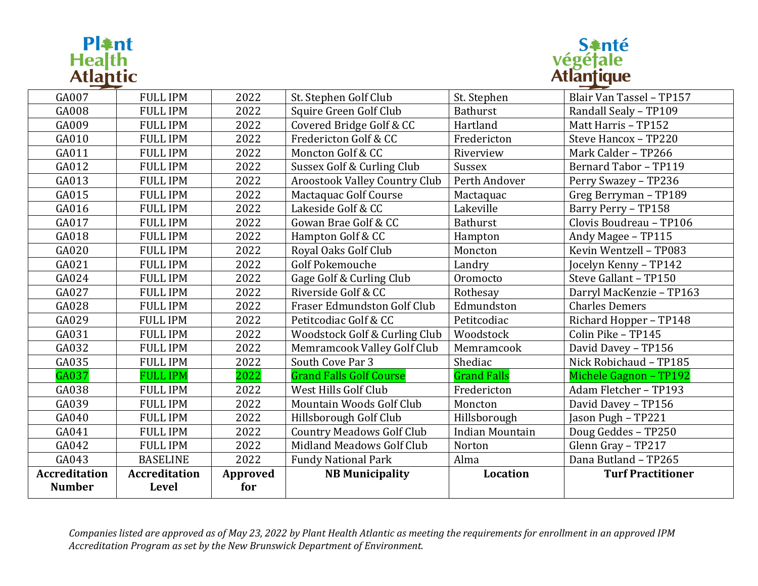# **Pl≩nt**<br>Hea|th<br>Atl<u>ant</u>ic



| GA007                                 | <b>FULL IPM</b>                      | 2022            | St. Stephen Golf Club                | St. Stephen            | Blair Van Tassel - TP157     |
|---------------------------------------|--------------------------------------|-----------------|--------------------------------------|------------------------|------------------------------|
| GA008                                 | <b>FULL IPM</b>                      | 2022            | Squire Green Golf Club               | <b>Bathurst</b>        | Randall Sealy - TP109        |
| GA009                                 | <b>FULL IPM</b>                      | 2022            | Covered Bridge Golf & CC             | Hartland               | Matt Harris - TP152          |
| GA010                                 | <b>FULL IPM</b>                      | 2022            | Fredericton Golf & CC                | Fredericton            | Steve Hancox - TP220         |
| GA011                                 | <b>FULL IPM</b>                      | 2022            | Moncton Golf & CC                    | Riverview              | Mark Calder - TP266          |
| GA012                                 | <b>FULL IPM</b>                      | 2022            | Sussex Golf & Curling Club           | Sussex                 | <b>Bernard Tabor - TP119</b> |
| GA013                                 | <b>FULL IPM</b>                      | 2022            | <b>Aroostook Valley Country Club</b> | Perth Andover          | Perry Swazey - TP236         |
| GA015                                 | <b>FULL IPM</b>                      | 2022            | Mactaquac Golf Course                | Mactaquac              | Greg Berryman - TP189        |
| GA016                                 | <b>FULL IPM</b>                      | 2022            | Lakeside Golf & CC                   | Lakeville              | Barry Perry - TP158          |
| GA017                                 | <b>FULL IPM</b>                      | 2022            | Gowan Brae Golf & CC                 | <b>Bathurst</b>        | Clovis Boudreau - TP106      |
| GA018                                 | <b>FULL IPM</b>                      | 2022            | Hampton Golf & CC                    | Hampton                | Andy Magee - TP115           |
| GA020                                 | <b>FULL IPM</b>                      | 2022            | Royal Oaks Golf Club                 | Moncton                | Kevin Wentzell - TP083       |
| GA021                                 | <b>FULL IPM</b>                      | 2022            | <b>Golf Pokemouche</b>               | Landry                 | Jocelyn Kenny - TP142        |
| GA024                                 | <b>FULL IPM</b>                      | 2022            | Gage Golf & Curling Club             | Oromocto               | Steve Gallant - TP150        |
| GA027                                 | <b>FULL IPM</b>                      | 2022            | Riverside Golf & CC                  | Rothesay               | Darryl MacKenzie - TP163     |
| GA028                                 | <b>FULL IPM</b>                      | 2022            | Fraser Edmundston Golf Club          | Edmundston             | <b>Charles Demers</b>        |
| GA029                                 | <b>FULL IPM</b>                      | 2022            | Petitcodiac Golf & CC                | Petitcodiac            | Richard Hopper - TP148       |
| GA031                                 | <b>FULL IPM</b>                      | 2022            | Woodstock Golf & Curling Club        | Woodstock              | Colin Pike - TP145           |
| GA032                                 | <b>FULL IPM</b>                      | 2022            | Memramcook Valley Golf Club          | Memramcook             | David Davey - TP156          |
| GA035                                 | <b>FULL IPM</b>                      | 2022            | South Cove Par 3                     | Shediac                | Nick Robichaud - TP185       |
| GA037                                 | <b>FULL IPM</b>                      | 2022            | <b>Grand Falls Golf Course</b>       | <b>Grand Falls</b>     | Michele Gagnon - TP192       |
| GA038                                 | <b>FULL IPM</b>                      | 2022            | West Hills Golf Club                 | Fredericton            | Adam Fletcher - TP193        |
| GA039                                 | <b>FULL IPM</b>                      | 2022            | Mountain Woods Golf Club             | Moncton                | David Davey - TP156          |
| GA040                                 | <b>FULL IPM</b>                      | 2022            | Hillsborough Golf Club               | Hillsborough           | Jason Pugh - TP221           |
| GA041                                 | <b>FULL IPM</b>                      | 2022            | <b>Country Meadows Golf Club</b>     | <b>Indian Mountain</b> | Doug Geddes - TP250          |
| GA042                                 | <b>FULL IPM</b>                      | 2022            | Midland Meadows Golf Club            | Norton                 | Glenn Gray - TP217           |
| GA043                                 | <b>BASELINE</b>                      | 2022            | <b>Fundy National Park</b>           | Alma                   | Dana Butland - TP265         |
| <b>Accreditation</b><br><b>Number</b> | <b>Accreditation</b><br><b>Level</b> | Approved<br>for | <b>NB Municipality</b>               | Location               | <b>Turf Practitioner</b>     |

*Companies listed are approved as of May 23, 2022 by Plant Health Atlantic as meeting the requirements for enrollment in an approved IPM Accreditation Program as set by the New Brunswick Department of Environment.*